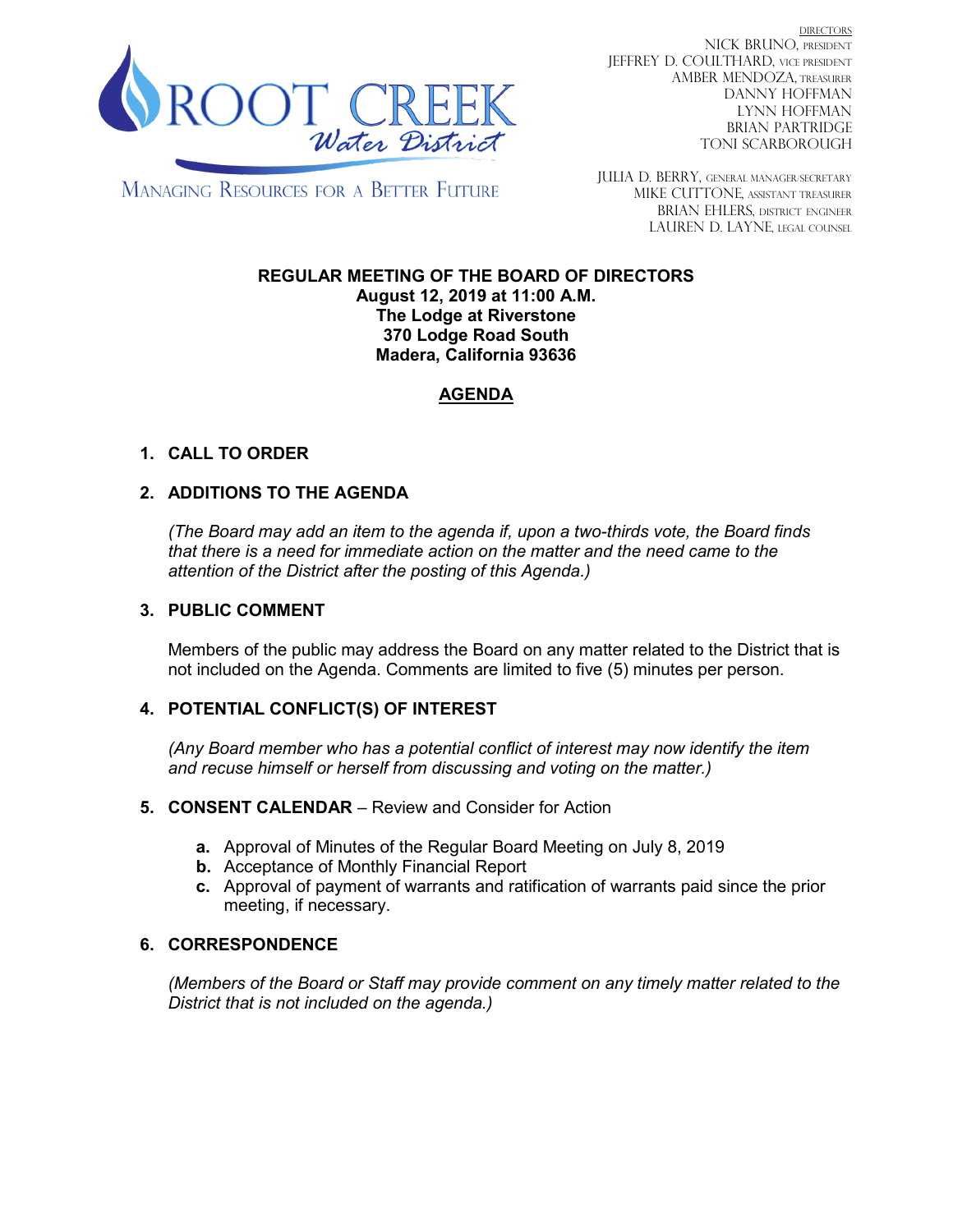

**DIRECTORS** NICK BRUNO, PRESIDENT JEFFREY D. COULTHARD, Vice President AMBER MENDOZA, TREASURER DANNY HOFFMAN LYNN HOFFMAN BRIAN PARTRIDGE TONI SCARBOROUGH

**MANAGING RESOURCES FOR A BETTER FUTURE** 

JULIA D. BERRY, GENERAL MANAGER/secretary MIKE CUTTONE, Assistant treasurer BRIAN EHLERS, DISTRICT ENGINEER LAUREN D. LAYNE, LEGAL COUNSEL

#### **REGULAR MEETING OF THE BOARD OF DIRECTORS August 12, 2019 at 11:00 A.M. The Lodge at Riverstone 370 Lodge Road South Madera, California 93636**

# **AGENDA**

## **1. CALL TO ORDER**

### **2. ADDITIONS TO THE AGENDA**

*(The Board may add an item to the agenda if, upon a two-thirds vote, the Board finds that there is a need for immediate action on the matter and the need came to the attention of the District after the posting of this Agenda.)*

#### **3. PUBLIC COMMENT**

Members of the public may address the Board on any matter related to the District that is not included on the Agenda. Comments are limited to five (5) minutes per person.

#### **4. POTENTIAL CONFLICT(S) OF INTEREST**

*(Any Board member who has a potential conflict of interest may now identify the item and recuse himself or herself from discussing and voting on the matter.)*

#### **5. CONSENT CALENDAR** – Review and Consider for Action

- **a.** Approval of Minutes of the Regular Board Meeting on July 8, 2019
- **b.** Acceptance of Monthly Financial Report
- **c.** Approval of payment of warrants and ratification of warrants paid since the prior meeting, if necessary.

#### **6. CORRESPONDENCE**

*(Members of the Board or Staff may provide comment on any timely matter related to the District that is not included on the agenda.)*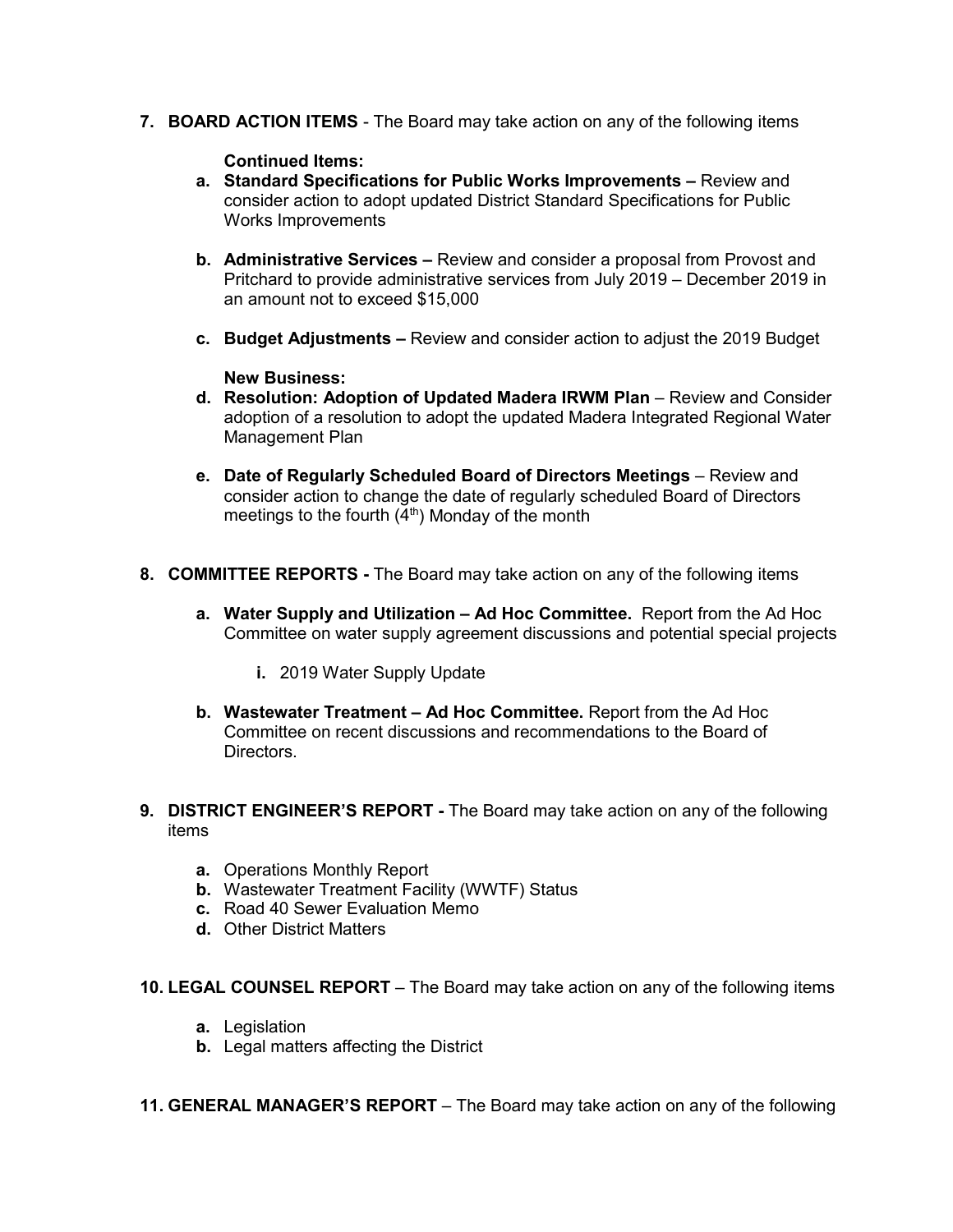**7. BOARD ACTION ITEMS** - The Board may take action on any of the following items

#### **Continued Items:**

- **a. Standard Specifications for Public Works Improvements –** Review and consider action to adopt updated District Standard Specifications for Public Works Improvements
- **b. Administrative Services –** Review and consider a proposal from Provost and Pritchard to provide administrative services from July 2019 – December 2019 in an amount not to exceed \$15,000
- **c. Budget Adjustments –** Review and consider action to adjust the 2019 Budget

#### **New Business:**

- **d. Resolution: Adoption of Updated Madera IRWM Plan** Review and Consider adoption of a resolution to adopt the updated Madera Integrated Regional Water Management Plan
- **e. Date of Regularly Scheduled Board of Directors Meetings** Review and consider action to change the date of regularly scheduled Board of Directors meetings to the fourth  $(4<sup>th</sup>)$  Monday of the month
- **8. COMMITTEE REPORTS -** The Board may take action on any of the following items
	- **a. Water Supply and Utilization – Ad Hoc Committee.** Report from the Ad Hoc Committee on water supply agreement discussions and potential special projects
		- **i.** 2019 Water Supply Update
	- **b. Wastewater Treatment – Ad Hoc Committee.** Report from the Ad Hoc Committee on recent discussions and recommendations to the Board of **Directors**
- **9. DISTRICT ENGINEER'S REPORT -** The Board may take action on any of the following items
	- **a.** Operations Monthly Report
	- **b.** Wastewater Treatment Facility (WWTF) Status
	- **c.** Road 40 Sewer Evaluation Memo
	- **d.** Other District Matters
- **10. LEGAL COUNSEL REPORT** The Board may take action on any of the following items
	- **a.** Legislation
	- **b.** Legal matters affecting the District
- **11. GENERAL MANAGER'S REPORT** The Board may take action on any of the following